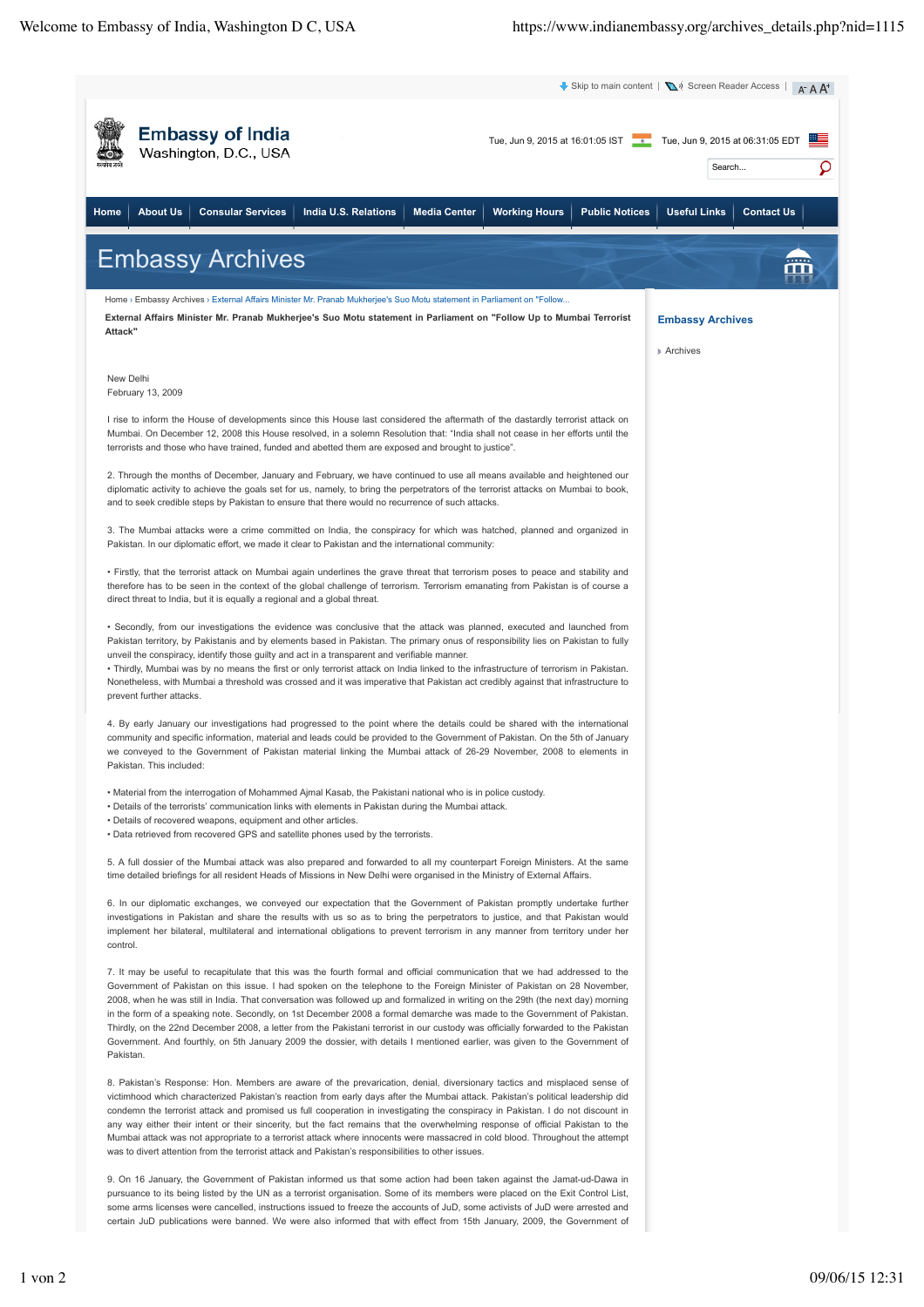